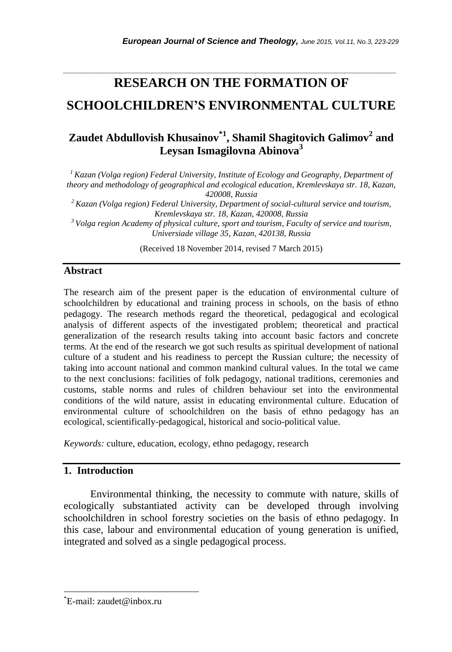# **RESEARCH ON THE FORMATION OF SCHOOLCHILDREN'S ENVIRONMENTAL CULTURE**

*\_\_\_\_\_\_\_\_\_\_\_\_\_\_\_\_\_\_\_\_\_\_\_\_\_\_\_\_\_\_\_\_\_\_\_\_\_\_\_\_\_\_\_\_\_\_\_\_\_\_\_\_\_\_\_\_\_\_\_\_\_\_\_\_\_\_\_\_\_\_\_*

## **Zaudet Abdullovish Khusainov\*1 , Shamil Shagitovich Galimov<sup>2</sup> and Leysan Ismagilovna Abinova<sup>3</sup>**

*<sup>1</sup>Kazan (Volga region) Federal University, Institute of Ecology and Geography, Department of theory and methodology of geographical and ecological education, Kremlevskaya str. 18, Kazan, 420008, Russia*

*<sup>2</sup>Kazan (Volga region) Federal University, Department of social-cultural service and tourism, Kremlevskaya str. 18, Kazan, 420008, Russia*

*<sup>3</sup>Volga region Academy of physical culture, sport and tourism, Faculty of service and tourism, Universiade village 35, Kazan, 420138, Russia*

(Received 18 November 2014, revised 7 March 2015)

## **Abstract**

The research aim of the present paper is the education of environmental culture of schoolchildren by educational and training process in schools, on the basis of ethno pedagogy. The research methods regard the theoretical, pedagogical and ecological analysis of different aspects of the investigated problem; theoretical and practical generalization of the research results taking into account basic factors and concrete terms. At the end of the research we got such results as spiritual development of national culture of a student and his readiness to percept the Russian culture; the necessity of taking into account national and common mankind cultural values. In the total we came to the next conclusions: facilities of folk pedagogy, national traditions, ceremonies and customs, stable norms and rules of children behaviour set into the environmental conditions of the wild nature, assist in educating environmental culture. Education of environmental culture of schoolchildren on the basis of ethno pedagogy has an ecological, scientifically-pedagogical, historical and socio-political value.

*Keywords:* culture, education, ecology, ethno pedagogy, research

## **1. Introduction**

Environmental thinking, the necessity to commute with nature, skills of ecologically substantiated activity can be developed through involving schoolchildren in school forestry societies on the basis of ethno pedagogy. In this case, labour and environmental education of young generation is unified, integrated and solved as a single pedagogical process.

l

<sup>\*</sup>E-mail: zaudet@inbox.ru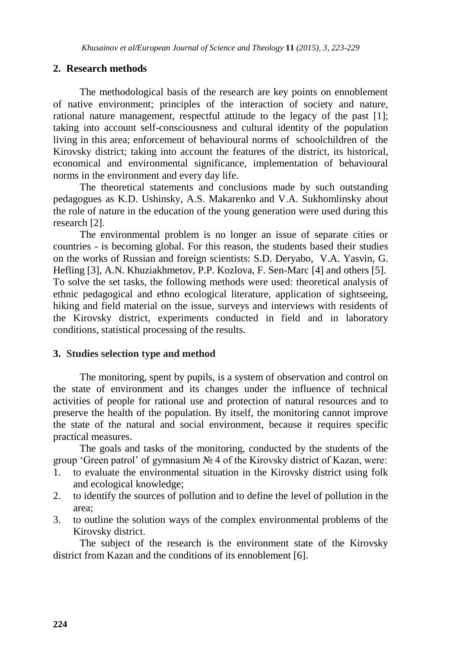### **2. Research methods**

The methodological basis of the research are key points on ennoblement of native environment; principles of the interaction of society and nature, rational nature management, respectful attitude to the legacy of the past [1]; taking into account self-consciousness and cultural identity of the population living in this area; enforcement of behavioural norms of schoolchildren of the Kirovsky district; taking into account the features of the district, its historical, economical and environmental significance, implementation of behavioural norms in the environment and every day life.

The theoretical statements and conclusions made by such outstanding pedagogues as K.D. Ushinsky, A.S. Makarenko and V.A. Sukhomlinsky about the role of nature in the education of the young generation were used during this research [2].

The environmental problem is no longer an issue of separate cities or countries - is becoming global. For this reason, the students based their studies on the works of Russian and foreign scientists: S.D. Deryabo, V.A. Yasvin, G. Hefling [3], A.N. Khuziakhmetov, P.P. Kozlova, F. Sen-Marc [4] and others [5]. To solve the set tasks, the following methods were used: theoretical analysis of ethnic pedagogical and ethno ecological literature, application of sightseeing, hiking and field material on the issue, surveys and interviews with residents of the Kirovsky district, experiments conducted in field and in laboratory conditions, statistical processing of the results.

#### **3. Studies selection type and method**

The monitoring, spent by pupils, is a system of observation and control on the state of environment and its changes under the influence of technical activities of people for rational use and protection of natural resources and to preserve the health of the population. By itself, the monitoring cannot improve the state of the natural and social environment, because it requires specific practical measures.

The goals and tasks of the monitoring, conducted by the students of the group "Green patrol" of gymnasium № 4 of the Kirovsky district of Kazan, were:

- 1. to evaluate the environmental situation in the Kirovsky district using folk and ecological knowledge;
- 2. to identify the sources of pollution and to define the level of pollution in the area;
- 3. to outline the solution ways of the complex environmental problems of the Kirovsky district.

The subject of the research is the environment state of the Kirovsky district from Kazan and the conditions of its ennoblement [6].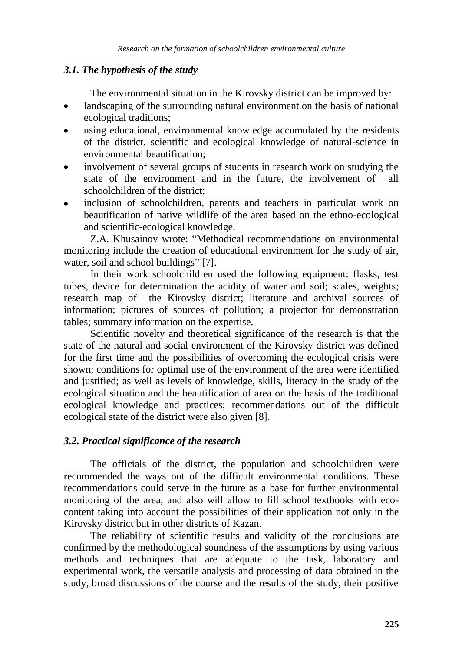## *3.1. The hypothesis of the study*

The environmental situation in the Kirovsky district can be improved by:

- landscaping of the surrounding natural environment on the basis of national  $\bullet$ ecological traditions;
- using educational, environmental knowledge accumulated by the residents  $\bullet$ of the district, scientific and ecological knowledge of natural-science in environmental beautification;
- involvement of several groups of students in research work on studying the state of the environment and in the future, the involvement of all schoolchildren of the district;
- inclusion of schoolchildren, parents and teachers in particular work on beautification of native wildlife of the area based on the ethno-ecological and scientific-ecological knowledge.

Z.A. Khusainov wrote: "Methodical recommendations on environmental monitoring include the creation of educational environment for the study of air, water, soil and school buildings" [7].

In their work schoolchildren used the following equipment: flasks, test tubes, device for determination the acidity of water and soil; scales, weights; research map of the Kirovsky district; literature and archival sources of information; pictures of sources of pollution; a projector for demonstration tables; summary information on the expertise.

Scientific novelty and theoretical significance of the research is that the state of the natural and social environment of the Kirovsky district was defined for the first time and the possibilities of overcoming the ecological crisis were shown; conditions for optimal use of the environment of the area were identified and justified; as well as levels of knowledge, skills, literacy in the study of the ecological situation and the beautification of area on the basis of the traditional ecological knowledge and practices; recommendations out of the difficult ecological state of the district were also given [8].

## *3.2. Practical significance of the research*

The officials of the district, the population and schoolchildren were recommended the ways out of the difficult environmental conditions. These recommendations could serve in the future as a base for further environmental monitoring of the area, and also will allow to fill school textbooks with ecocontent taking into account the possibilities of their application not only in the Kirovsky district but in other districts of Kazan.

The reliability of scientific results and validity of the conclusions are confirmed by the methodological soundness of the assumptions by using various methods and techniques that are adequate to the task, laboratory and experimental work, the versatile analysis and processing of data obtained in the study, broad discussions of the course and the results of the study, their positive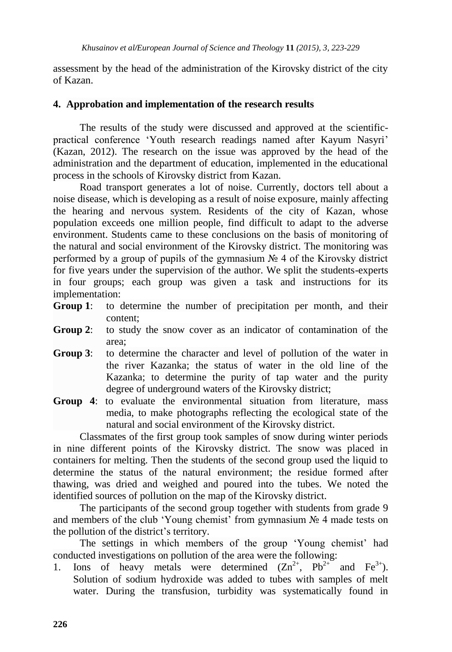assessment by the head of the administration of the Kirovsky district of the city of Kazan.

## **4. Approbation and implementation of the research results**

The results of the study were discussed and approved at the scientificpractical conference "Youth research readings named after Kayum Nasyri" (Kazan, 2012). The research on the issue was approved by the head of the administration and the department of education, implemented in the educational process in the schools of Kirovsky district from Kazan.

Road transport generates a lot of noise. Currently, doctors tell about a noise disease, which is developing as a result of noise exposure, mainly affecting the hearing and nervous system. Residents of the city of Kazan, whose population exceeds one million people, find difficult to adapt to the adverse environment. Students came to these conclusions on the basis of monitoring of the natural and social environment of the Kirovsky district. The monitoring was performed by a group of pupils of the gymnasium № 4 of the Kirovsky district for five years under the supervision of the author. We split the students-experts in four groups; each group was given a task and instructions for its implementation:

- **Group 1**: to determine the number of precipitation per month, and their content;
- **Group 2**: to study the snow cover as an indicator of contamination of the area;
- **Group 3:** to determine the character and level of pollution of the water in the river Kazanka; the status of water in the old line of the Kazanka; to determine the purity of tap water and the purity degree of underground waters of the Kirovsky district;
- **Group 4:** to evaluate the environmental situation from literature, mass media, to make photographs reflecting the ecological state of the natural and social environment of the Kirovsky district.

Classmates of the first group took samples of snow during winter periods in nine different points of the Kirovsky district. The snow was placed in containers for melting. Then the students of the second group used the liquid to determine the status of the natural environment; the residue formed after thawing, was dried and weighed and poured into the tubes. We noted the identified sources of pollution on the map of the Kirovsky district.

The participants of the second group together with students from grade 9 and members of the club 'Young chemist' from gymnasium  $N_2$  4 made tests on the pollution of the district"s territory.

The settings in which members of the group 'Young chemist' had conducted investigations on pollution of the area were the following:

1. Ions of heavy metals were determined  $(Zn^{2+}, Pb^{2+}$  and  $Fe^{3+}$ ). Solution of sodium hydroxide was added to tubes with samples of melt water. During the transfusion, turbidity was systematically found in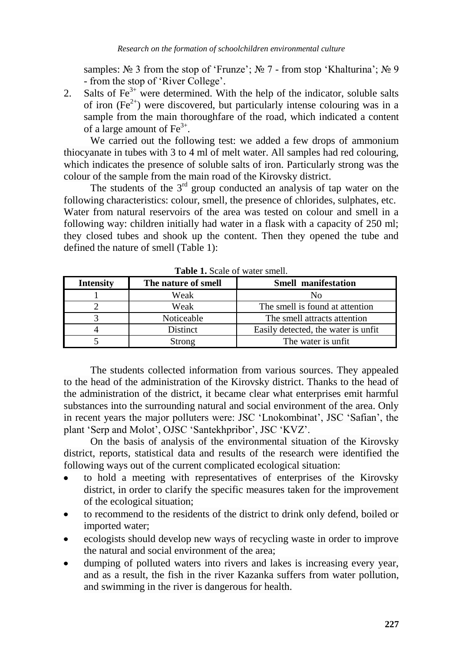samples:  $\mathcal{N}_2$  3 from the stop of 'Frunze';  $\mathcal{N}_2$  7 - from stop 'Khalturina';  $\mathcal{N}_2$  9 - from the stop of "River College".

2. Salts of  $\text{Fe}^{3+}$  were determined. With the help of the indicator, soluble salts of iron  $(Fe^{2+})$  were discovered, but particularly intense colouring was in a sample from the main thoroughfare of the road, which indicated a content of a large amount of  $\text{Fe}^{3+}$ .

We carried out the following test: we added a few drops of ammonium thiocyanate in tubes with 3 to 4 ml of melt water. All samples had red colouring, which indicates the presence of soluble salts of iron. Particularly strong was the colour of the sample from the main road of the Kirovsky district.

The students of the  $3<sup>rd</sup>$  group conducted an analysis of tap water on the following characteristics: colour, smell, the presence of chlorides, sulphates, etc. Water from natural reservoirs of the area was tested on colour and smell in a following way: children initially had water in a flask with a capacity of 250 ml; they closed tubes and shook up the content. Then they opened the tube and defined the nature of smell (Table 1):

| <b>Intensity</b> | The nature of smell | <b>Smell manifestation</b>           |
|------------------|---------------------|--------------------------------------|
|                  | Weak                | N٥                                   |
|                  | Weak                | The smell is found at attention      |
|                  | Noticeable          | The smell attracts attention         |
|                  | <b>Distinct</b>     | Easily detected, the water is unfit. |
|                  | Strong              | The water is unfit.                  |

**Table 1.** Scale of water smell.

The students collected information from various sources. They appealed to the head of the administration of the Kirovsky district. Thanks to the head of the administration of the district, it became clear what enterprises emit harmful substances into the surrounding natural and social environment of the area. Only in recent years the major polluters were: JSC "Lnokombinat", JSC "Safian", the plant "Serp and Molot", OJSC "Santekhpribor", JSC "KVZ".

On the basis of analysis of the environmental situation of the Kirovsky district, reports, statistical data and results of the research were identified the following ways out of the current complicated ecological situation:

- to hold a meeting with representatives of enterprises of the Kirovsky district, in order to clarify the specific measures taken for the improvement of the ecological situation;
- to recommend to the residents of the district to drink only defend, boiled or imported water;
- ecologists should develop new ways of recycling waste in order to improve  $\bullet$ the natural and social environment of the area;
- dumping of polluted waters into rivers and lakes is increasing every year, and as a result, the fish in the river Kazanka suffers from water pollution, and swimming in the river is dangerous for health.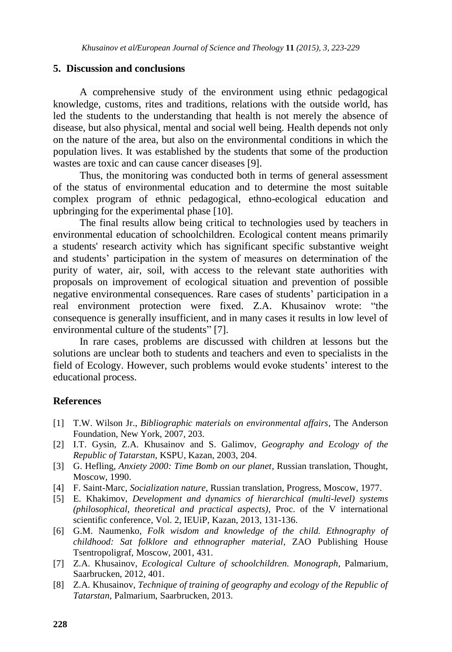#### **5. Discussion and conclusions**

A comprehensive study of the environment using ethnic pedagogical knowledge, customs, rites and traditions, relations with the outside world, has led the students to the understanding that health is not merely the absence of disease, but also physical, mental and social well being. Health depends not only on the nature of the area, but also on the environmental conditions in which the population lives. It was established by the students that some of the production wastes are toxic and can cause cancer diseases [9].

Thus, the monitoring was conducted both in terms of general assessment of the status of environmental education and to determine the most suitable complex program of ethnic pedagogical, ethno-ecological education and upbringing for the experimental phase [10].

The final results allow being critical to technologies used by teachers in environmental education of schoolchildren. Ecological content means primarily a students' research activity which has significant specific substantive weight and students" participation in the system of measures on determination of the purity of water, air, soil, with access to the relevant state authorities with proposals on improvement of ecological situation and prevention of possible negative environmental consequences. Rare cases of students" participation in a real environment protection were fixed. Z.A. Khusainov wrote: "the consequence is generally insufficient, and in many cases it results in low level of environmental culture of the students" [7].

In rare cases, problems are discussed with children at lessons but the solutions are unclear both to students and teachers and even to specialists in the field of Ecology. However, such problems would evoke students" interest to the educational process.

## **References**

- [1] T.W. Wilson Jr., *Bibliographic materials on environmental affairs*, The Anderson Foundation, New York, 2007, 203.
- [2] I.T. Gysin, Z.A. Khusainov and S. Galimov, *Geography and Ecology of the Republic of Tatarstan*, KSPU, Kazan, 2003, 204.
- [3] G. Hefling, *Anxiety 2000: Time Bomb on our planet*, Russian translation, Thought, Moscow, 1990.
- [4] F. Saint-Marc, *Socialization nature*, Russian translation, Progress, Moscow, 1977.
- [5] E. Khakimov, *Development and dynamics of hierarchical (multi-level) systems (philosophical, theoretical and practical aspects)*, Proc. of the V international scientific conference, Vol. 2, IEUiP, Kazan, 2013, 131-136.
- [6] G.M. Naumenko, *Folk wisdom and knowledge of the child. Ethnography of childhood: Sat folklore and ethnographer material*, ZAO Publishing House Tsentropoligraf, Moscow, 2001, 431.
- [7] Z.A. Khusainov, *Ecological Culture of schoolchildren. Monograph*, Palmarium, Saarbrucken, 2012, 401.
- [8] Z.A. Khusainov, *Technique of training of geography and ecology of the Republic of Tatarstan*, Palmarium, Saarbrucken, 2013.